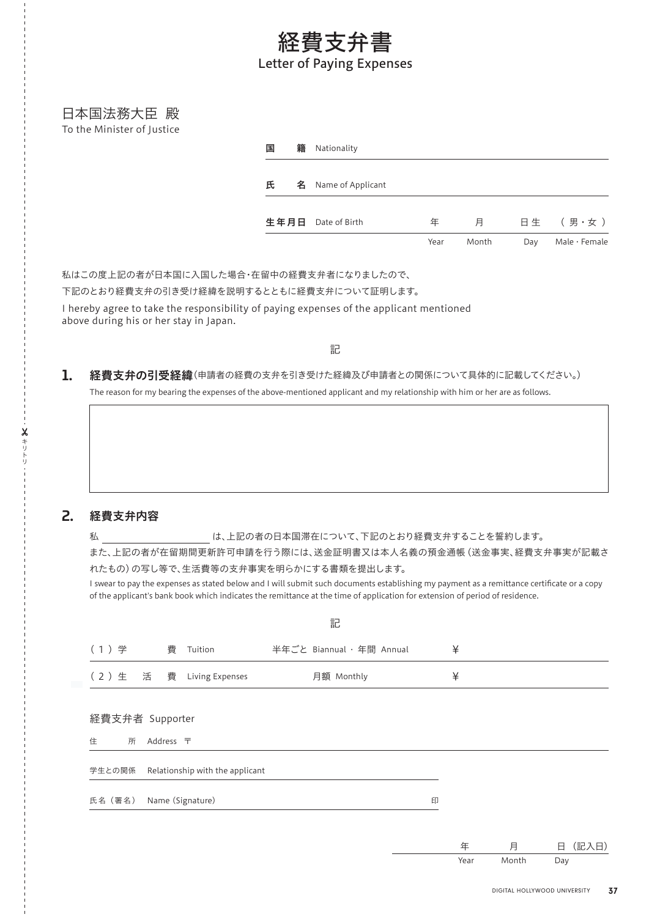## 経費支弁書 Letter of Paying Expenses

日本国法務大臣 殿 To the Minister of Justice

| 籍<br>国 | Nationality        |      |       |     |               |
|--------|--------------------|------|-------|-----|---------------|
| 氏<br>名 | Name of Applicant  |      |       |     |               |
|        | 生年月日 Date of Birth | 年    | 月     |     | 日生 (男·女)      |
|        |                    | Year | Month | Day | Male · Female |

私はこの度上記の者が日本国に入国した場合・在留中の経費支弁者になりましたので、

下記のとおり経費支弁の引き受け経緯を説明するとともに経費支弁について証明します。

I hereby agree to take the responsibility of paying expenses of the applicant mentioned above during his or her stay in Japan.

記

## 経費支弁の引受経緯(申請者の経費の支弁を引き受けた経緯及び申請者との関係について具体的に記載してください。) 1.

The reason for my bearing the expenses of the above-mentioned applicant and my relationship with him or her are as follows.

## 経費支弁内容 2.

**X** キリトリ

私 は、上記の者の日本国滞在について、下記のとおり経費支弁することを誓約します。

また、上記の者が在留期間更新許可申請を行う際には、送金証明書又は本人名義の預金通帳(送金事実、経費支弁事実が記載さ れたもの)の写し等で、生活費等の支弁事実を明らかにする書類を提出します。

I swear to pay the expenses as stated below and I will submit such documents establishing my payment as a remittance certificate or a copy of the applicant's bank book which indicates the remittance at the time of application for extension of period of residence.

|                                        |   |                                 | 記                         |   |  |  |  |  |
|----------------------------------------|---|---------------------------------|---------------------------|---|--|--|--|--|
| (1)学                                   | 費 | Tuition                         | 半年ごと Biannual · 年間 Annual | ¥ |  |  |  |  |
| (2)生活費                                 |   | Living Expenses                 | 月額 Monthly                | ¥ |  |  |  |  |
| 経費支弁者 Supporter<br>Address 〒<br>住<br>所 |   |                                 |                           |   |  |  |  |  |
| 学生との関係                                 |   | Relationship with the applicant |                           |   |  |  |  |  |
| 氏名 (署名)                                |   | Name (Signature)                |                           | 印 |  |  |  |  |
|                                        |   |                                 |                           |   |  |  |  |  |

年 月 日(記入日) Year Month Day

DIGITAL HOLLYWOOD UNIVERSITY 37